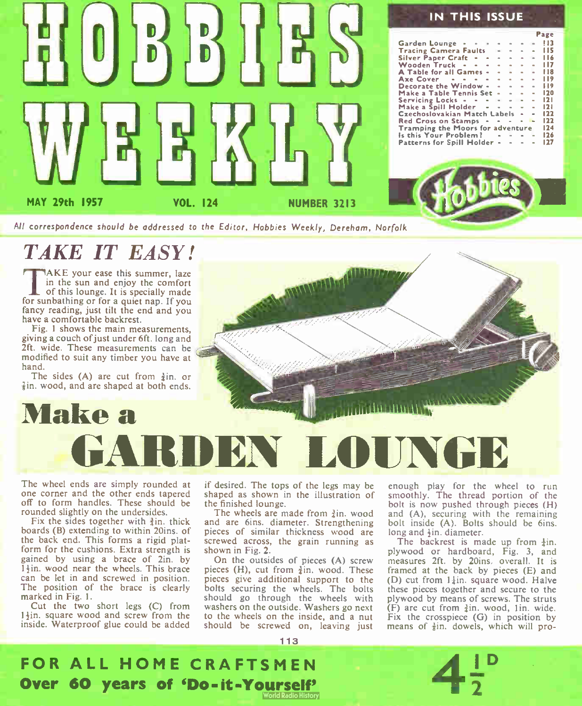

#### IN THIS ISSUE

Page

|                                         |  |              |                                                            |                |                | $-1$ |
|-----------------------------------------|--|--------------|------------------------------------------------------------|----------------|----------------|------|
| Garden Lounge • • •                     |  |              | $\alpha$ .<br><br><br><br><br><br><br><br><br><br><br><br> |                | $\sim$         | !!3  |
| <b>Tracing Camera Faults = - -</b>      |  |              |                                                            |                | <b>ALC</b>     | 115  |
| Silver Paper Craft + + +                |  |              | $\blacksquare$                                             | $\sim$         | $\sim$         | 116  |
| Wooden Truck - - -                      |  | $\sim$       |                                                            | and a con-     | $\alpha$       | 117  |
| A Table for all Games -                 |  | $\mathbf{a}$ | $\sim$                                                     | $\alpha$       | a.             | 118  |
| Axe Cover + + + + + + +                 |  |              |                                                            |                |                | 119  |
| Decorate the Window -                   |  |              | $\sim$ $\sim$                                              | $\blacksquare$ | $\blacksquare$ | 119  |
| Make a Table Tennis Set                 |  |              | <b>Sales Contract Contract</b>                             |                | $\alpha$       | 120  |
| Servicing Locks $      -$               |  |              |                                                            |                |                | 121  |
| Make a Spill Holder $\cdot \cdot \cdot$ |  |              |                                                            |                |                | 121  |
| Czechoslovakian Match Labels • •        |  |              |                                                            |                |                | 122  |
| Red Cross on Stamps • • • • •           |  |              |                                                            |                |                | 122  |
| Tramping the Moors for adventure        |  |              |                                                            |                |                | 124  |
| is this Your Problem ?                  |  |              |                                                            |                |                | 126  |
| Patterns for Spill Holder - - -         |  |              |                                                            |                |                | 127  |
|                                         |  |              |                                                            |                |                |      |



All correspondence should be addressed to the Editor, Hobbies Weekly, Derehom, Norfolk

### TAKE IT EASY!

TAKE your ease this summer, laze<br>in the sun and enjoy the comfort<br>of this lounge. It is specially made AKE your ease this summer, laze in the sun and enjoy the comfort for sunbathing or for a quiet nap. If you fancy reading, just tilt the end and you have a comfortable backrest.

Fig. 1 shows the main measurements, giving a couch of just under 6ft. long and 2ft. wide. These measurements can be modified to suit any timber you have at hand.

The sides  $(A)$  are cut from  $\frac{3}{2}$ in. or  $\frac{7}{8}$ in, wood, and are shaped at both ends.

Make a



The wheel ends are simply rounded at one corner and the other ends tapered off to form handles. These should be rounded slightly on the undersides.

Fix the sides together with  $\frac{3}{2}$ in, thick boards (B) extending to within 20ins. of the back end. This forms a rigid platform for the cushions. Extra strength is gained by using a brace of 2in. by 14in. wood near the wheels. This brace can be let in and screwed in position. The position of the brace is clearly marked in Fig. I.

Cut the two short legs (C) from  $1\frac{1}{2}$ in, square wood and screw from the inside. Waterproof glue could be added if desired. The tops of the legs may be shaped as shown in the illustration of the finished lounge.

The wheels are made from  $\frac{3}{2}$ in, wood and are 6ins. diameter. Strengthening pieces of similar thickness wood are screwed across, the grain running as shown in Fig. 2.

On the outsides of pieces (A) screw pieces (H), cut from  $\frac{3}{4}$ in. wood. These pieces give additional support to the bolts securing the wheels. The bolts should go through the wheels with washers on the outside. Washers go next to the wheels on the inside, and a nut should be screwed on, leaving just

1 1 3

enough play for the wheel to run smoothly. The thread portion of the bolt is now pushed through pieces (H) and (A), securing with the remaining bolt inside (A). Bolts should be 6ins. long and  $\frac{1}{2}$ in. diameter.

The backrest is made up from  $\frac{1}{4}$ in. plywood or hardboard, Fig. 3, and measures 2ft. by 20ins. overall. It is framed at the back by pieces (E) and (D) cut from  $1\frac{1}{4}$ in. square wood. Halve these pieces together and secure to the plywood by means of screws. The struts (F) are cut from  $\frac{3}{4}$ in. wood, 1 in. wide. Fix the crosspiece  $(G)$  in position by means of  $\frac{3}{2}$ in, dowels, which will pro-

D

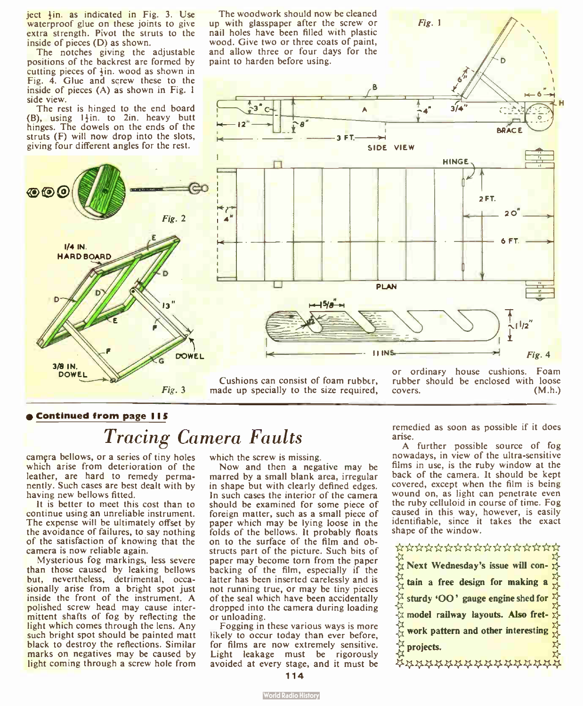ject  $\frac{1}{2}$ in. as indicated in Fig. 3. Use waterproof glue on these joints to give extra strength. Pivot the struts to the inside of pieces (D) as shown.

The notches giving the adjustable positions of the backrest are formed by cutting pieces of  $\frac{1}{2}$ in. wood as shown in Fig. 4. Glue and screw these to the inside of pieces (A) as shown in Fig. 1 side view.

The rest is hinged to the end board  $(B)$ , using  $1\frac{1}{2}$ in. to 2in. heavy butt hinges. The dowels on the ends of the struts  $(F)$  will now drop into the slots, giving four different angles for the rest.

 $\circ$  for  $\circ$ 

 $I/4$  IN. HARD BOARD

3/8 IN. DOWEL

The woodwork should now be cleaned up with glasspaper after the screw or Fig. 1 nail holes have been filled with plastic wood. Give two or three coats of paint, and allow three or four days for the paint to harden before using. H  $3/4$ **BDAC**  $3 FT$ SIDE VIEW  $\frac{1}{\sqrt{1-\frac{1}{2}}}$  HINGE . The set of  $\frac{1}{\sqrt{1-\frac{1}{2}}}$ communication and COU 2 FT. stir.  $\leftarrow$  20  $\overline{\phantom{0}}$ 4  $\vert$   $\vert$ 6 FT.  $-+$   $-$ PLAN , The contract of the contract of the contract of the contract of the contract of the contract of the contract of the contract of the contract of the contract of the contract of the contract of the contract of the con **JINS** Fig. 4  $\overline{f}$ 

Cushions can consist of foam rubbcr, Fig. 3 made up specially to the size required,

or ordinary house cushions. Foam rubber should be enclosed with loose covers. (M.h.)

#### Continued from page IIS

### Tracing Camera Faults

DOWEL

Fig. 2

 $\overline{12}$ 

camgra bellows, or a series of tiny holes which arise from deterioration of the leather, are hard to remedy permanently. Such cases are best dealt with by having new bellows fitted.

It is better to meet this cost than to continue using an unreliable instrument. The expense will be ultimately offset by the avoidance of failures, to say nothing of the satisfaction of knowing that the camera is now reliable again.

Mysterious fog markings, less severe than those caused by leaking bellows but, nevertheless, detrimental, occasionally arise from a bright spot just inside the front of the instrument. A polished screw head may cause intermittent shafts of fog by reflecting the light which comes through the lens. Any such bright spot should be painted matt black to destroy the reflections. Similar marks on negatives may be caused by light coming through a screw hole from which the screw is missing.

Now and then a negative may be marred by a small blank area, irregular in shape but with clearly defined edges. In such cases the interior of the camera should be examined for some piece of foreign matter, such as a small piece of paper which may be lying loose in the folds of the bellows. It probably floats on to the surface of the film and obstructs part of the picture. Such bits of paper may become torn from the paper backing of the film, especially if the latter has been inserted carelessly and is not running true, or may be tiny pieces of the seal which have been accidentally dropped into the camera during loading or unloading.

Fogging in these various ways is more likely to occur today than ever before, for films are now extremely sensitive. Light leakage must be rigorously avoided at every stage, and it must be remedied as soon as possible if it does arise.

A further possible source of fog nowadays, in view of the ultra -sensitive films in use, is the ruby window at the back of the camera. It should be kept covered, except when the film is being wound on, as light can penetrate even the ruby celluloid in course of time. Fog caused in this way, however, is easily identifiable, since it takes the exact shape of the window.

#### \*\*\*\*\*\*\*\*\*\*\*\*\*\*\*

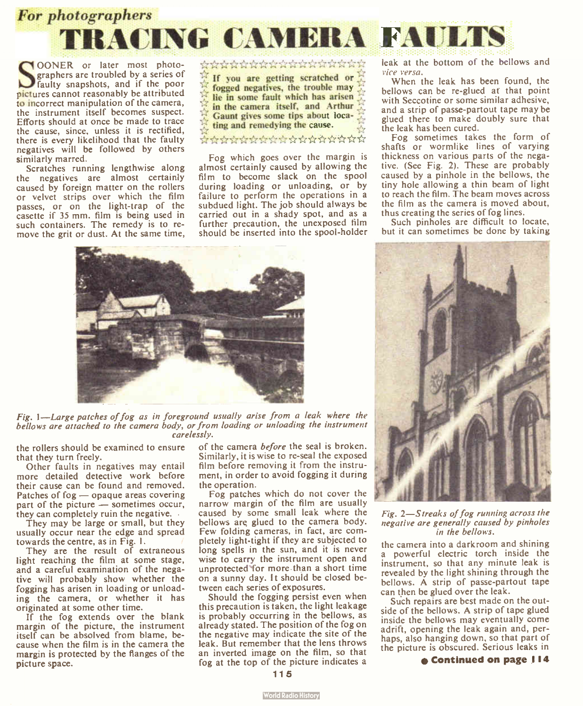

**SPIGNER OF THE THE PROPRETABLE SPIGE AND SET AND SPIGE SPIGE AND SPIGE AND SPIGE AND SPIGE AND SPIGE AND SPIGE AND SPIGE AND SPIGE AND SPIGE AND SPIGE AND SPIGE AND SPIGE AND SPIGE AND SPIGE AND SPIGE AND SPIGE AND SPIGE** OONER or later most photo-graphers are troubled by a series of faulty snapshots, and if the poor to incorrect manipulation of the camera, the instrument itself becomes suspect. Efforts should at once be made to trace the cause, since, unless it is rectified, there is every likelihood that the faulty negatives will be followed by others similarly marred.

Scratches running lengthwise along the negatives are almost certainly caused by foreign matter on the rollers or velvet strips over which the film passes, or on the light-trap of the casette if 35 mm. film is being used in such containers. The remedy is to remove the grit or dust. At the same time, \*\*\*\*\*\*\*\*\*\*\*\*\*\*\*\*\*

If you are getting scratched or fogged negatives, the trouble may lie in some fault which has arisen in the camera itself, and Arthur Gaunt gives some tips about locating and remedying the cause.

#### \*\*\*\*\*\*\*\*\*\*\*\*\*\*

Fog which goes over the margin is almost certainly caused by allowing the film to become slack on the spool during loading or unloading, or by failure to perform the operations in a subdued light. The job should always be carried out in a shady spot, and as a further precaution, the unexposed film should be inserted into the spool-holder leak at the bottom of the bellows and vice versa.

When the leak has been found, the bellows can be re-glued at that point with Seccotine or some similar adhesive, and a strip of passe-partout tape may be glued there to make doubly sure that the leak has been cured.

Fog sometimes takes the form of shafts or wormlike lines of varying thickness on various parts of the negative. ( See Fig. 2). These are probably caused by a pinhole in the bellows, the tiny hole allowing a thin beam of light to reach the film. The beam moves across the film as the camera is moved about, thus creating the series of fog lines.

Such pinholes are difficult to locate, but it can sometimes be done by taking



Fig. 1—Large patches of fog as in foreground usually arise from a leak where the bellows are attached to the camera body, or from loading or unloading the instrument carelessly.

the rollers should be examined to ensure that they turn freely.

Other faults in negatives may entail more detailed detective work before their cause can be found and removed. Patches of fog — opaque areas covering part of the picture — sometimes occur, they can completely ruin the negative.

They may be large or small, but they usually occur near the edge and spread towards the centre, as in Fig. 1.

They are the result of extraneous light reaching the film at some stage, and a careful examination of the negative will probably show whether the fogging has arisen in loading or unloading the camera, or whether it has originated at some other time.

If the fog extends over the blank margin of the picture, the instrument itself can be absolved from blame, because when the film is in the camera the margin is protected by the flanges of the picture space.

of the camera before the seal is broken. Similarly, it is wise to re- seal the exposed film before removing it from the instrument, in order to avoid fogging it during the operation.

Fog patches which do not cover the narrow margin of the film are usually caused by some small leak where the bellows are glued to the camera body. Few folding cameras, in fact, are completely light- tight if they are subjected to long spells in the sun, and it is never wise to carry the instrument open and unprotected for more than a short time on a sunny day. It should be closed between each series of exposures.

Should the fogging persist even when this precaution is taken, the light leakage is probably occurring in the bellows, as already stated. The position of the fog on the negative may indicate the site of the leak. But remember that the lens throws an inverted image on the film, so that fog at the top of the picture indicates a



Fig. 2—Streaks of fog running across the negative are generally caused by pinholes in the bellows.

the camera into a darkroom and shining a powerful electric torch inside the instrument, so that any minute leak is revealed by the light shining through the bellows. A strip of passe-partout tape can then be glued over the leak.

Such repairs are best made on the outside of the bellows. A strip of tape glued inside the bellows may eventually come adrift, opening the leak again and, perhaps, also hanging down, so that part of the picture is obscured. Serious leaks in

e Continued on page I 14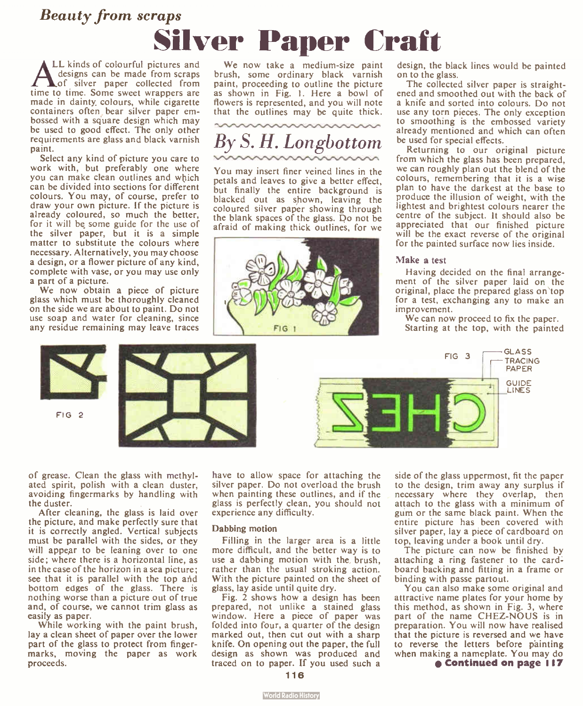# Beauty from scraps **Silver Paper Craft**<br>LL kinds of colourful pictures and We now take a medium-size paint design, the

designs can be made from scraps of silver paper collected from time to time. Some sweet wrappers are made in dainty colours, while cigarette containers often bear silver paper embossed with a square design which may be used to good effect. The only other requirements are glass and black varnish paint.

Select any kind of picture you care to work with, but preferably one where you can make clean outlines and wbich can be divided into sections for different colours. You may, of course, prefer to draw your own picture. If the picture is already coloured, so much the better, for it will be some guide for the use of the silver paper, but it is a simple matter to substitute the colours where necessary. Alternatively, you may choose a design, or a flower picture of any kind, complete with vase, or you may use only a part of a picture.

We now obtain a piece of picture glass which must be thoroughly cleaned on the side we are about to paint. Do not use soap and water for cleaning, since any residue remaining may leave traces

We now take a medium-size paint brush, some ordinary black varnish paint, proceeding to outline the picture as shown in Fig. 1. Here a bowl of flowers is represented, and you will note that the outlines may be quite thick.



You may insert finer veined lines in the petals and leaves to give a better effect, but finally the entire background is blacked out as shown, leaving the coloured silver paper showing through the blank spaces of the glass. Do not be afraid of making thick outlines, for we



design, the black lines would be painted on to the glass.

The collected silver paper is straightened and smoothed out with the back of a knife and sorted into colours. Do not use any torn pieces. The only exception to smoothing is the embossed variety already mentioned and which can often be used for special effects.

Returning to our original picture from which the glass has been prepared, we can roughly plan out the blend of the colours, remembering that it is a wise plan to have the darkest at the base to produce the illusion of weight, with the lightest and brightest colours nearer the centre of the subject. It should also be appreciated that our finished picture will be the exact reverse of the original for the painted surface now lies inside.

#### Make a test

Having decided on the final arrangement of the silver paper laid on the original, place the prepared glass on top for a test, exchanging any to make an improvement.

We can now proceed to fix the paper. Starting at the top, with the painted



of grease. Clean the glass with methylated spirit, polish with a clean duster, avoiding fingermarks by handling with the duster.

FIG 2

After cleaning, the glass is laid over the picture, and make perfectly sure that it is correctly angled. Vertical subjects must be parallel with the sides, or they will appear to be leaning over to one side; where there is a horizontal line, as in the case of the horizon in a sea picture; see that it is parallel with the top and bottom edges of the glass. There is nothing worse than a picture out of true and, of course, we cannot trim glass as easily as paper.

While working with the paint brush, lay a clean sheet of paper over the lower part of the glass to protect from fingermarks, moving the paper as work proceeds.

have to allow space for attaching the silver paper. Do not overload the brush when painting these outlines, and if the glass is perfectly clean, you should not experience any difficulty.

#### Dabbing motion

Filling in the larger area is a little more difficult, and the better way is to use a dabbing motion with the, brush, rather than the usual stroking action. With the picture painted on the sheet of glass, lay aside until quite dry.

Fig. 2 shows how a design has been prepared, not unlike a stained glass window. Here a piece of paper was folded into four, a quarter of the design marked out, then cut out with a sharp knife. On opening out the paper, the full design as shown was produced and traced on to paper. If you used such a side of the glass uppermost, fit the paper to the design, trim away any surplus if necessary where they overlap, then attach to the glass with a minimum of gum or the same black paint. When the entire picture has been covered with silver paper, lay a piece of cardboard on top, leaving under a book until dry.

The picture can now be finished by attaching a ring fastener to the card board backing and fitting in a frame or binding with passe partout.

You can also make some original and attractive name plates for your home by this method, as shown in Fig. 3, where part of the name CHEZ-NOUS is in preparation. You will now have realised that the picture is reversed and we have to reverse the letters before painting when making a nameplate. You may do e Continued on page 117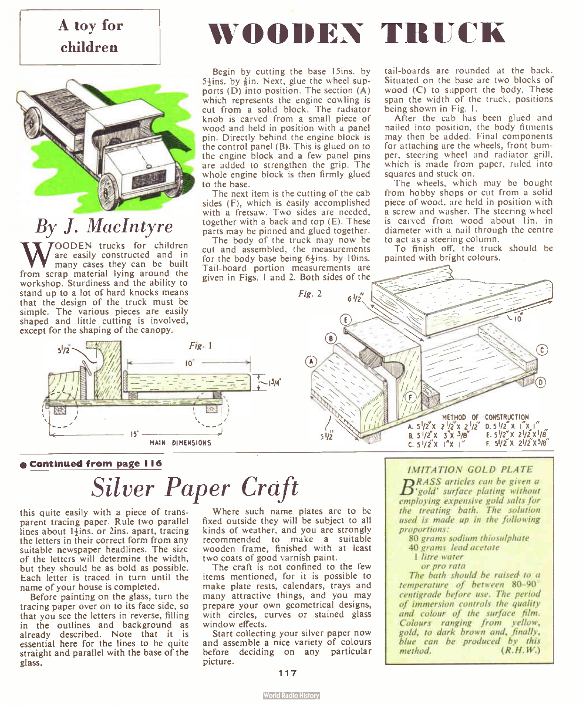### A toy for children



# By J. MacIntyre

W OODEN trucks for children<br>many cases they can be built<br>from scrap material lying around the OODEN trucks for children are easily constructed and in many cases they can be built workshop. Sturdiness and the ability to stand up to a lot of hard knocks means that the design of the truck must be simple. The various pieces are easily shaped and little cutting is involved, except for the shaping of the canopy.



#### • Continued from page I 16

# Silver Paper Craft

this quite easily with a piece of transparent tracing paper. Rule two parallel lines about 1<sup>1</sup>ins, or 2ins. apart, tracing the letters in their correct form from any suitable newspaper headlines. The size of the letters will determine the width, but they should be as bold as possible. Each letter is traced in turn until the name of your house is completed.

Before painting on the glass, turn the tracing paper over on to its face side, so that you see the letters in reverse, filling in the outlines and background as already described. Note that it is essential here for the lines to be quite straight and parallel with the base of the glass.

Where such name plates are to be fixed outside they will be subject to all kinds of weather, and you are strongly recommended to make a suitable wooden frame, finished with at least two coats of good varnish paint.

The craft is not confined to the few items mentioned, for it is possible to make plate rests, calendars, trays and many attractive things, and you may prepare your own geometrical designs, with circles, curves or stained glass window effects.

Start collecting your silver paper now and assemble a nice variety of colours before deciding on any particular picture.

tail- boards are rounded at the back. Situated on the base are two blocks of wood (C) to support the body. These span the width of the truck, positions being shown in Fig. I.

WOODEN TRUCK

Begin by cutting the base I5ins. by

The next item is the cutting of the cab

together with a back and top  $(E)$ . These parts may be pinned and glued together. The body of the truck may now be cut and assembled, the measurements for the body base being  $6\frac{1}{2}$ ins. by 10ins.

After the cab has been glued and nailed into position, the body fitments may then be added. Final components for attaching are the wheels, front bumper, steering wheel and radiator grill, which is made from paper, ruled into squares and stuck on.

The wheels, which may be bought from hobby shops or cut from a solid piece of wood, are held in position with a screw and washer. The steering wheel is carved from wood about lin. in diameter with a nail through the centre to act as a steering column.

To finish off, the truck should be painted with bright colours.



#### IMITATION GOLD PLATE

 $B_{\text{yold}}^{\text{RASS}}$  surface plating without employing expensive gold salts for the treating bath. The solution used is made up in the following proportions:

- 80 grams sodium thiosulphate
- 40 grams lead acetate
- 1 litre water
- or pro rata

The bath should be raised to a temperature of between 80-90 centigrade before use. The period of immersion controls the quality and colour of the surface film. Colours ranging from yellow, gold, to dark brown and, finally, blue can be produced by this method.  $(R.H.W.)$ 

#### 117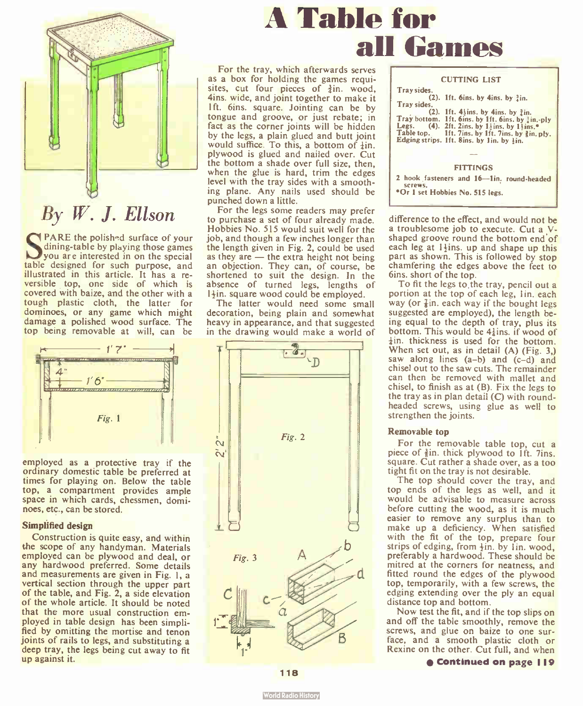

**SPARE** the polished surface of your<br>dining-table by playing those games<br>low are interested in on the special dining- table by playing those games you are interested in on the special table designed for such purpose, and illustrated in this article. It has a reversible top, one side of which is covered with baize, and the other with a tough plastic cloth, the latter for dominoes, or any game which might damage a polished wood surface. The top being removable at will, can be



employed as a protective tray if the ordinary domestic table be preferred at times for playing on. Below the table top, a compartment provides ample space in which cards, chessmen, dominoes, etc., can be stored.

#### Simplified design

Construction is quite easy, and within the scope of any handyman. Materials employed can be plywood and deal, or any hardwood preferred. Some details and measurements are given in Fig. 1, a vertical section through the upper part of the table, and Fig. 2, a side elevation of the whole article. It should be noted that the more usual construction employed in table design has been simplified by omitting the mortise and tenon joints of rails to legs, and substituting a deep tray, the legs being cut away to fit up against it.

# A Table for all Games

For the tray, which afterwards serves as a box for holding the games requisites, cut four pieces of  $\frac{3}{2}$ in. wood, 4ins. wide, and joint together to make it 1ft. 6ins. square. Jointing can be by tongue and groove, or just rebate; in fact as the corner joints will be hidden by the legs, a plain glued and butt joint would suffice. To this, a bottom of  $\frac{1}{4}$ in. plywood is glued and nailed over. Cut the bottom a shade over full size, then, when the glue is hard, trim the edges level with the tray sides with a smoothing plane. Any nails used should be punched down a little.

For the legs some readers may prefer to purchase a set of four already made. Hobbies No. 515 would suit well for the job, and though a few inches longer than the length given in Fig. 2, could be used as they are — the extra height not being an objection. They can, of course, be shortened to suit the design. In the absence of turned legs, lengths of  $1\frac{1}{2}$ in. square wood could be employed.

The latter would need some small decoration, being plain and somewhat heavy in appearance, and that suggested in the drawing would make a world of



| <b>CUTTING LIST</b>                               |
|---------------------------------------------------|
|                                                   |
| Tray sides.                                       |
| $(2)$ . 1ft. 6ins. by 4ins. by $3in$ .            |
| Tray sides.                                       |
| $(2)$ . 1ft. 4 ins. by 4ins. by $2$ in.           |
| Tray bottom. 1ft. 6ins. by 1ft. 6ins. by lin.-ply |
| Legs. (4). 2ft. 2ins. by 1 lins. by 1 lins. $*$   |
| Table top. 1ft. 7ins. by 1ft. 7ins. by lin. ply.  |
| Edging strips. Ift. 8ins. by 1in. by lin.         |
|                                                   |
|                                                   |
|                                                   |
| FITTINGS                                          |

2 hook fasteners and 16-lin, round-headed<br>screws. screws. •Or 1 set Hobbies No. 515 legs.

difference to the effect, and would not be a troublesome job to execute. Cut a Vshaped groove round the bottom end of each leg at 1<sup>+</sup>ins. up and shape up this part as shown. This is followed by stop chamfering the edges above the feet to 6ins. short of the top.

To fit the legs to the tray, pencil out a portion at the top of each leg, lin. each way (or  $\frac{7}{2}$ in, each way if the bought legs suggested are employed), the length being equal to the depth of tray, plus its bottom. This would be 4ins. if wood of  $\frac{1}{2}$ in, thickness is used for the bottom. When set out, as in detail  $(A)$  (Fig. 3,) saw along lines  $(a-b)$  and  $(c-d)$  and chisel out to the saw cuts. The remainder can then be removed with mallet and chisel, to finish as at (B). Fix the legs to the tray as in plan detail  $(C)$  with roundheaded screws, using glue as well to strengthen the joints.

#### Removable top

For the removable table top, cut a piece of  $\frac{3}{8}$ in, thick plywood to 1ft. 7ins. square. Cut rather a shade over, as a too tight fit on the tray is not desirable.

The top should cover the tray, and top ends of the legs as well, and it would be advisable to measure across before cutting the wood, as it is much easier to remove any surplus than to make up a deficiency. When satisfied with the fit of the top, prepare four strips of edging, from  $\frac{1}{2}$ in. by I in. wood, preferably a hardwood. These should be mitred at the corners for neatness, and fitted round the edges of the plywood top, temporarily, with a few screws, the edging extending over the ply an equal distance top and bottom.

Now test the fit, and if the top slips on and off the table smoothly, remove the screws, and glue on baize to one surface, and a smooth plastic cloth or Rexine on the other. Cut full, and when

e Continued on page I 19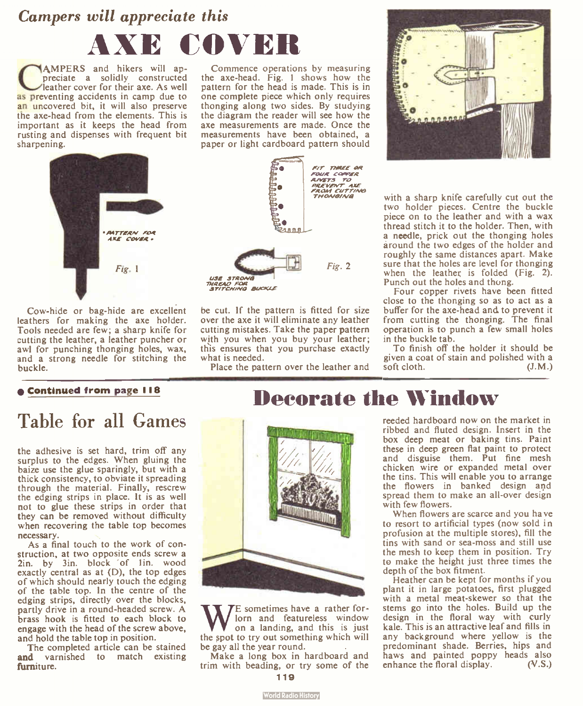## Campers will appreciate this AXE COVER

**C**<br>
preciate a solidly constructed<br>
leather cover for their axe. As well<br>
as preventing accidents in camp due to AMPERS and hikers will appreciate a solidly constructed leather cover for their axe. As well an uncovered bit, it will also preserve the axe- head from the elements. This is important as it keeps the head from rusting and dispenses with frequent bit sharpening.

Commence operations by measuring the axe- head. Fig. 1 shows how the pattern for the head is made. This is in one complete piece which only requires thonging along two sides. By studying the diagram the reader will see how the axe measurements are made. Once the measurements have been obtained, a paper or light cardboard pattern should



Cow-hide or bag-hide are excellent leathers for making the axe holder. Tools needed are few; a sharp knife for cutting the leather, a leather puncher or awl for punching thonging holes, wax, and a strong needle for stitching the buckle.



be cut. If the pattern is fitted for size over the axe it will eliminate any leather cutting mistakes. Take the paper pattern with you when you buy your leather; this ensures that you purchase exactly what is needed.

Place the pattern over the leather and



with a sharp knife carefully cut out the two holder pieces. Centre the buckle piece on to the leather and with a wax thread stitch it to the holder. Then, with a needle, prick out the thonging holes around the two edges of the holder and roughly the same distances apart. Make sure that the holes are level for thonging when the leather is folded  $(Fig. 2)$ . Punch out the holes and thong.

Four copper rivets have been fitted close to the thonging so as to act as a buffer for the axe- head and, to prevent it from cutting the thonging. The final operation is to punch a few small holes in the buckle tab.

To finish off the holder it should be given a coat of stain and polished with a soft cloth. (J.M.)

#### e Continued from page 118

### Table for all Games

the adhesive is set hard, trim off any surplus to the edges. When gluing the baize use the glue sparingly, but with a thick consistency, to obviate it spreading through the material. Finally, rescrew the edging strips in place. It is as well not to glue these strips in order that they can be removed without difficulty when recovering the table top becomes necessary.

As a final touch to the work of construction, at two opposite ends screw a 2in. by 3in. block of 1in. wood exactly central as at  $(D)$ , the top edges of which should nearly touch the edging of the table top. In the centre of the edging strips, directly over the blocks, partly drive in a round-headed screw. A brass hook is fitted to each block to engage with the head of the screw above, and hold the table top in position.

The completed article can be stained and varnished to match existing furniture.



We sometimes have a rather for-<br>on a landing, and this is just<br>the spot to try out something which will E sometimes have a rather forlorn and featureless window on a landing, and this is just be gay all the year round.

Make a long box in hardboard and trim with beading, or try some of the

### Decorate the Window

reeded hardboard now on the market in ribbed and fluted design. Insert in the box deep meat or baking tins. Paint these in deep green flat paint to protect and disguise them. Put fine mesh chicken wire or expanded metal over the tins. This will enable you to arrange the flowers in banked design and spread them to make an all-over design with few flowers.

When flowers are scarce and you have to resort to artificial types (now sold in profusion at the multiple stores), fill the tins with sand or sea- moss and still use the mesh to keep them in position. Try to make the height just three times the depth of the box fitment.

Heather can be kept for months if you plant it in large potatoes, first plugged with a metal meat-skewer so that the stems go into the holes. Build up the design in the floral way with curly kale. This is an attractive leaf and fills in any background where yellow is the predominant shade. Berries, hips and haws and painted poppy heads also enhance the floral display. (V.S.)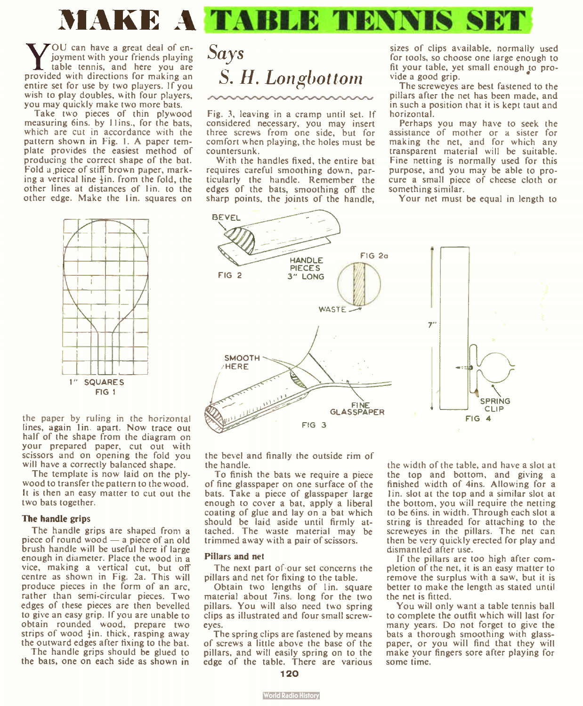

WOU can have a great deal of en-<br>table tennis, and friends playing<br>provided with directions for making an OU can have a great deal of enjoyment with your friends playing table tennis, and here you are entire set for use by two players. If you wish to play doubles, with four players, you may quickly make two more bats.

Take two pieces of thin plywood measuring 6ins. by 11ins., for the bats, which are cut in accordance with the pattern shown in Fig. I. A paper template provides the easiest method of producing the correct shape of the bat. Fold a piece of stiff brown paper, marking a vertical line  $\frac{1}{2}$  in. from the fold, the other lines at distances of 1in. to the other edge. Make the Iin. squares on



the paper by ruling in the horizontal lines, again 1in apart. Now trace out half of the shape from the diagram on your prepared paper, cut out with scissors and on opening the fold you will have a correctly balanced shape.

The template is now laid on the plywood to transfer the pattern to the wood. It is then an easy matter to cut out the two bats together.

#### The handle grips

The handle grips are shaped from a piece of round wood — a piece of an old brush handle will be useful here if large enough in diameter. Place the wood in a vice, making a vertical cut, but off centre as shown in Fig. 2a. This will produce pieces in the form of an arc, rather than semi-circular pieces. Two edges of these pieces are then bevelled to give an easy grip. If you are unable to obtain rounded wood, prepare two strips of wood  $\frac{1}{2}$ in, thick, rasping away the outward edges after fixing to the bat.

The handle grips should be glued to the bats, one on each side as shown in

### **Says** S. H. Longbottom

Fig. 3, leaving in a cramp until set. If considered necessary, you may insert three screws from one side, but for comfort when playing, the holes must be countersunk.

With the handles fixed, the entire bat requires careful smoothing down, particularly the handle. Remember the edges of the bats, smoothing off the sharp points, the joints of the handle, sizes of clips available, normally used for tools, so choose one large enough to fit your table, yet small enough to provide a good grip.

The screweyes are best fastened to the pillars after the net has been made, and in such a position that it is kept taut and horizontal.

Perhaps you may have to seek the assistance of mother or a sister for making the net, and for which any transparent material will be suitable. Fine netting is normally used for this purpose, and you may be able to procure a small piece of cheese cloth or something similar.

Your net must be equal in length to



the bevel and finally the outside rim of the handle.

To finish the bats we require a piece of fine glasspaper on one surface of the bats. Take a piece of glasspaper large enough to cover a bat, apply a liberal coating of glue and lay on a bat which should be laid aside until firmly attached. The waste material may be trimmed away with a pair of scissors.

#### Pillars and net

The next part of our set concerns the pillars and net for fixing to the table.

Obtain two lengths of lin. square material about 7ins. long for the two pillars. You will also need two spring clips as illustrated and four small screweyes.

The spring clips are fastened by means of screws a little above the base of the pillars, and will easily spring on to the edge of the table. There are various the width of the table, and have a slot at the top and bottom, and giving a finished width of 4ins. Allowing for a Iin. slot at the top and a similar slot at the bottom, you will require the netting to be 6ins. in width. Through each slot a string is threaded for attaching to the screweyes in the pillars. The net can then be very quickly erected for play and dismantled after use.

If the pillars are too high after completion of the net, it is an easy matter to remove the surplus with a saw, but it is better to make the length as stated until the net is fitted.

You will only want a table tennis ball to complete the outfit which will last for many years. Do not forget to give the bats a thorough smoothing with glasspaper, or you will find that they will make your fingers sore after playing for some time.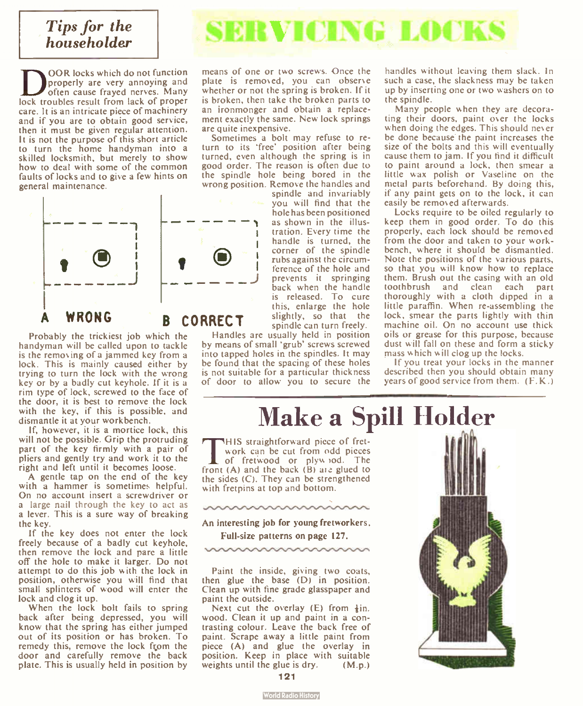#### Tips for the Tips for the **SERVICING LOCKS**

DOOR locks which do not function<br>often cause frayed nerves. Many<br>lock troubles result from lack of proper OOR locks which do not function properly are very annoying and often cause frayed nerves. Many care. It is an intricate piece of machinery and if you are to obtain good service, then it must be given regular attention. It is not the purpose of this short article to turn the home handyman into a skilled locksmith, but merely to show how to deal with some of the common faults of locks and to give a few hints on general maintenance.

![](_page_8_Picture_2.jpeg)

Probably the trickiest job which the handyman will be called upon to tackle is the removing of a jammed key from a lock. This is mainly caused either by trying to turn the lock with the wrong key or by a badly cut keyhole. If it is a rim type of lock, screwed to the face of the door, it is best to remove the lock with the key, if this is possible, and dismantle it at your workbench.

lf, however, it is a mortice lock, this will not be possible. Grip the protruding part of the key firmly with a pair of pliers and gently try and work it to the right and left until it becomes loose.

A gentle tap on the end of the key with a hammer is sometimes helpful. On no account insert a screwdriver or a large nail through the key to act as a lever. This is a sure way of breaking the key.

If the key does not enter the lock freely because of a badly cut keyhole, then remove the lock and pare a little off the hole to make it larger. Do not attempt to do this job with the lock in position, otherwise you will find that small splinters of wood will enter the lock and clog it up.

When the lock bolt fails to spring back after being depressed, you will know that the spring has either jumped out of its position or has broken. To remedy this, remove the lock fçom the door and carefully remove the back plate. This is usually held in position by

means of one or two screws. Once the plate is removed, you can observe whether or not the spring is broken. If it is broken, then take the broken parts to an ironmonger and obtain a replacement exactly the same. New lock springs are quite inexpensive.

Sometimes a bolt may refuse to return to its 'free' position after being turned, even although the spring is in good order. The reason is often due to the spindle hole being bored in the wrong position. Remove the handles and

spindle and invariably you will find that the hole has been positioned as shown in the illustration. Every time the handle is turned, the corner of the spindle rubs against the circumference of the hole and prevents it springing back when the handle is released. To cure this, enlarge the hole slightly, so that the spindle can turn freely.

Handles are usually held in position by means of small 'grub' screws screwed into tapped holes in the spindles. It may be found that the spacing of these holes is not suitable for a particular thickness of door to allow you to secure the

handles without leaving them slack. In such a case, the slackness may be taken up by inserting one or two washers on to the spindle.

Many people when they are decorating their doors, paint over the locks when doing the edges. This should never be done because the paint increases the size of the bolts and this will eventually cause them to jam. If you find it difficult to paint around a lock, then smear a little wax polish or Vaseline on the metal parts beforehand. By doing this, if any paint gets on to the lock, it can easily be removed afterwards.

Locks require to be oiled regularly to keep them in good order. To do this properly, each lock should be removed from the door and taken to your workbench, where it should be dismantled. Note the positions of the various parts, so that you will know how to replace them. Brush out the casing with an old toothbrush and clean each part thoroughly with a cloth dipped in a little paraffin. When re-assembling the lock, smear the parts lightly with thin machine oil. On no account use thick oils or grease for this purpose, because dust will fall on these and form a sticky mass which will clog up the locks.

If you treat your locks in the manner described then you should obtain many years of good service from them. ( F.K.)

Make a Spill Holder

This straightforward piece of tret-<br>work can be cut from odd pieces<br>front (A) and the back (B) are slued to HIS straightforward piece of fretwork can be cut from odd pieces front  $(A)$  and the back  $(B)$  are glued to the sides  $(C)$ . They can be strengthened with fretpins at top and bottom.

An interesting job for young fretworkers.

Full-size patterns on page 127.

Paint the inside, giving two coats, then glue the base  $(D)$  in position. Clean up with fine grade glasspaper and paint the outside.

Next cut the overlay  $(E)$  from  $\frac{1}{2}$ in. wood. Clean it up and paint in a contrasting colour. Leave the back free of paint. Scrape away a little paint from piece (A) and glue the overlay in position. Keep in place with suitable weights until the glue is  $\text{dry.}$  (M.p.)

![](_page_8_Picture_23.jpeg)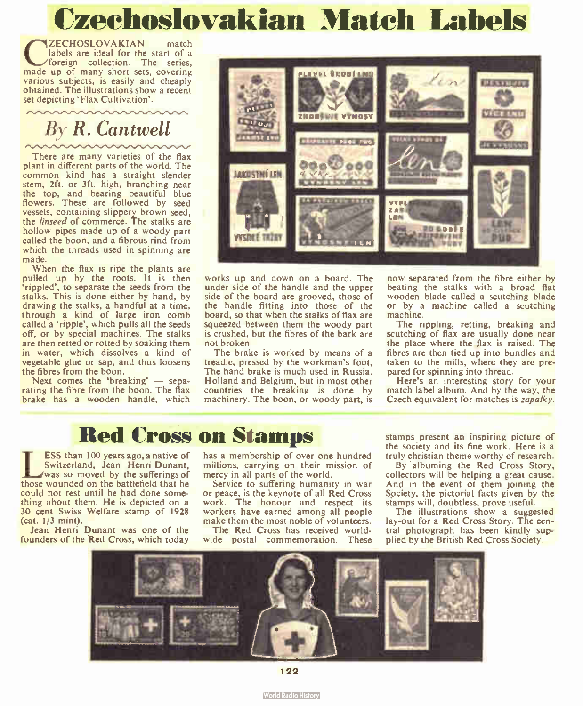# Czechoslovakian Match Labels

**CECHOSLOVAKIAN** match<br>labels are ideal for the start of a<br>made up of many short sets, covering ZECHOSLOVAKIAN match labels are ideal for the start of a foreign collection. The series, various subjects, is easily and cheaply obtained. The illustrations show a recent set depicting 'Flax Cultivation'.

# By R. Cantwell

There are many varieties of the flax plant in different parts of the world. The common kind has a straight slender stem, 2ft. or 3ft. high, branching near the top, and bearing beautiful blue<br>flowers. These are followed by seed vessels, containing slippery brown seed, the linseed of commerce. The stalks are hollow pipes made up of a woody part called the boon, and a fibrous rind from which the threads used in spinning are made.

When the flax is ripe the plants are pulled up by the roots. It is then 'rippled', to separate the seeds from the stalks. This is done either by hand, by drawing the stalks, a handful at a time, through a kind of large iron comb called a 'ripple', which pulls all the seeds off, or by special machines. The stalks are then retted or rotted by soaking them in water, which dissolves a kind of vegetable glue or sap, and thus loosens the fibres from the boon.

Next comes the 'breaking' — separating the fibre from the boon. The flax brake has a wooden handle, which

![](_page_9_Picture_6.jpeg)

works up and down on a board. The under side of the handle and the upper side of the board are grooved, those of the handle fitting into those of the board, so that when the stalks of flax are squeezed between them the woody part is crushed, but the fibres of the bark are not broken.

The brake is worked by means of a treadle, pressed by the workman's foot, The hand brake is much used in Russia. Holland and Belgium, but in most other countries the breaking is done by machinery. The boon, or woody part, is

now separated from the fibre either by beating the stalks with a broad flat wooden blade called a scutching blade or by a machine called a scutching machine.

The rippling, retting, breaking and scutching of flax are usually done near the place where the flax is raised. The fibres are then tied up into bundles and taken to the mills, where they are prepared for spinning into thread.

Here's an interesting story for your match label album. And by the way, the Czech equivalent for matches is *zapalky*.

### Red Cross on Stamps

**ESS than 100 years ago, a native of**<br>Switzerland, Jean Henri Dunant,<br>those wounded on the battlefield that he ESS than 100 years ago, a native of Switzerland, Jean Henri Dunant, was so moved by the sufferings of could not rest until he had done something about them. He is depicted on a 30 cent Swiss Welfare stamp of 1928 (cat. 1/3 mint).

Jean Henri Dunant was one of the founders of the Red Cross, which today

has a membership of over one hundred millions, carrying on their mission of mercy in all parts of the world.

Service to suffering humanity in war or peace, is the keynote of all Red Cross work. The honour and respect its workers have earned among all people make them the most noble of volunteers.

The Red Cross has received worldwide postal commemoration. These

stamps present an inspiring picture of the society and its fine work. Here is a truly christian theme worthy of research.

By albuming the Red Cross Story, collectors will be helping a great cause. And in the event of them joining the Society, the pictorial facts given by the stamps will, doubtless, prove useful.

The illustrations show a suggested lay-out for a Red Cross Story. The central photograph has been kindly supplied by the British Red Cross Society.

![](_page_9_Picture_21.jpeg)

122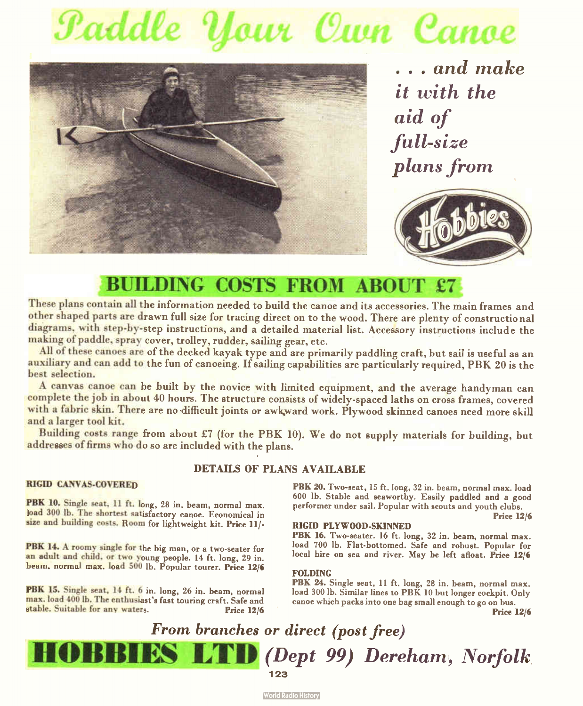# Paddle Your Curn Canoe

![](_page_10_Picture_1.jpeg)

. . . and make it with the aid of .full-size plans from

![](_page_10_Picture_3.jpeg)

### BUILDING COSTS FROM ABOUT £7

These plans contain all the information needed to build the canoe and its accessories. The main frames and other shaped parts are drawn full size for tracing direct on to the wood. There are plenty of constructio nal diagrams, with step-by-step instructions, and a detailed material list. Accessory instructions include the making of paddle, spray cover, trolley, rudder, sailing gear, etc.

All of these canoes are of the decked kayak type and are primarily paddling craft, but sail is useful as an auxiliary and can add to the fun of canoeing. If sailing capabilities are particularly required, PBK 20 is the best selection.

A canvas canoe can be built by the novice with limited equipment, and the average handyman can complete the job in about 40 hours. The structure consists of widely-spaced laths on cross frames, covered with a fabric skin. There are no-difficult joints or awkward work. Plywood skinned canoes need more skill and a larger tool kit.

Building costs range from about £7 (for the PBK 10). We do not supply materials for building, but addresses of firms who do so are included with the plans.

#### DETAILS OF PLANS AVAILABLE

#### RIGID CANVAS-COVERED

PBK 10. Single seat, 11 ft. long, 28 in. beam, normal max. load 300 lb. The shortest satisfactory canoe. Economical in size and building costs. Room for lightweight kit. Price 11/-

PBK 14. A roomy single for the big man, or a two-seater for an adult and child, or two young people. 14 ft. long, 29 in. beam, normal max. load 500 lb. Popular tourer. Price 12/6

PBK 15. Single seat, 14 ft. 6 in. long, 26 in. beam, normal max. load 400 lb. The enthusiast's fast touring craft. Safe and stable. Suitable for any waters. Price 12/6

PBK 20. Two-seat, 15 ft. long, 32 in. beam, normal max. load 600 lb. Stable and seaworthy. Easily paddled and a good performer under sail. Popular with scouts and youth clubs.

#### RIGID PLYWOOD-SKINNED

PBK 16. Two-seater. 16 ft. long, 32 in. beam, normal max. load 700 lb. Flat-bottomed. Safe and robust. Popular for local hire on sea and river. May be left afloat. Price 12/6

#### FOLDING

PBK 24. Single seat, 11 ft. long, 28 in. beam, normal max. load 300 lb. Similar lines to PBK 10 but longer cockpit. Only canoe which packs into one bag small enough to go on bus.

Price 12/6

Price 12/6

### From branches or direct (post free) HOBBIES LTD (Dept 99) Dereham, Norfolk 123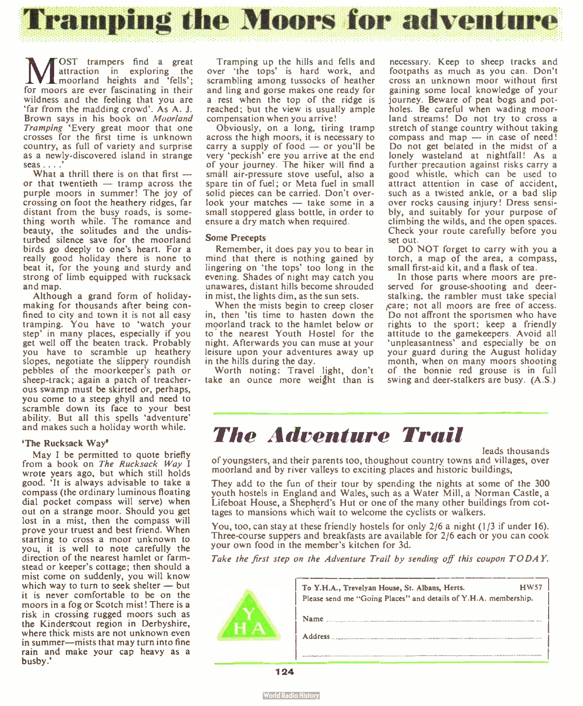![](_page_11_Picture_0.jpeg)

M<br>E OST trampers find a great attraction in exploring the moorland heights and ` fells'; for moors are ever fascinating in their wildness and the feeling that you are 'far from the madding crowd'. As A. J. Brown says in his book on Moorland Tramping 'Every great moor that one crosses for the first time is unknown country, as full of variety and surprise as a newly-discovered island in strange seas . . . .

What a thrill there is on that first  $$ or that twentieth — tramp across the purple moors in summer! The joy of crossing on foot the heathery ridges, far distant from the busy roads, is something worth while. The romance and beauty, the solitudes and the undisturbed silence save for the moorland birds go deeply to one's heart. For a really good holiday there is none to beat it, for the young and sturdy and strong of limb equipped with rucksack and map.

Although a grand form of holidaymaking for thousands after being confined to city and town it is not all easy tramping. You have to 'watch your step' in many places, especially if you get well off the beaten track. Probably you have to scramble up heathery slopes, negotiate the slippery roundish pebbles of the moorkeeper's path or sheep- track; again a patch of treacherous swamp must be skirted or, perhaps, you come to a steep ghyll and need to scramble down its face to your best ability. But all this spells 'adventure' and makes such a holiday worth while.

#### 'The Rucksack Way'

May I be permitted to quote briefly from a book on The Rucksack Way I wrote years ago, but which still holds good. It is always advisable to take a compass ( the ordinary luminous floating dial pocket compass will serve) when out on a strange moor. Should you get lost in a mist, then the compass will prove your truest and best friend. When starting to cross a moor unknown to you, it is well to note carefully the direction of the nearest hamlet or farmstead or keeper's cottage; then should a mist come on suddenly, you will know which way to turn to seek shelter — but it is never comfortable to be on the moors in a fog or Scotch mist! There is a risk in crossing rugged moors such as the Kinderscout region in Derbyshire, where thick mists are not unknown even in summer—mists that may turn into fine rain and make your cap heavy as a busby.'

Tramping up the hills and fells and over 'the tops' is hard work, and scrambling among tussocks of heather and ling and gorse makes one ready for a rest when the top of the ridge is reached; but the view is usually ample compensation when you arrive!

Obviously, on a long, tiring tramp across the high moors, it is necessary to carry a supply of food — or you'll be very 'peckish' ere you arrive at the end of your journey. The hiker will find a small air- pressure stove useful, also a spare tin of fuel; or Meta fuel in small solid pieces can be carried. Don't overlook your matches — take some in a small stoppered glass bottle, in order to ensure a dry match when required.

#### Some Precepts

Remember, it does pay you to bear in mind that there is nothing gained by lingering on 'the tops' too long in the evening. Shades of night may catch you unawares, distant hills become shrouded in mist, the lights dim, as the sun sets.

When the mists begin to creep closer in, then 'tis time to hasten down the moorland track to the hamlet below or to the nearest Youth Hostel for the night. Afterwards you can muse at your leisure upon your adventures away up in the hills during the day.

Worth noting: Travel light, don't take an ounce more weight than is

necessary. Keep to sheep tracks and footpaths as much as you can. Don't cross an unknown moor without first gaining some local knowledge of your journey. Beware of peat bogs and potholes. Be careful when wading moorland streams! Do not try to cross a stretch of stange country without taking compass and map — in case of need! Do not get belated in the midst of a lonely wasteland at nightfall! As a further precaution against risks carry a good whistle, which can be used to attract attention in case of accident, such as a twisted ankle, or a bad slip over rocks causing injury! Dress sensibly, and suitably for your purpose of climbing the wilds, and the open spaces. Check your route carefully before you set out.

DO NOT forget to carry with you a torch, a map of the area, a compass, small first-aid kit, and a flask of tea.

In those parts where moors are preserved for grouse-shooting and deerstalking, the rambler must take special ,care; not all moors are free of access. Do not affront the sportsmen who have rights to the sport; keep a friendly attitude to the gamekeepers. Avoid all 'unpleasantness' and especially be on your guard during the August holiday month, when on many moors shooting of the bonnie red grouse is in full swing and deer-stalkers are busy. (A.S.)

### The Adventure Trail

leads thousands

of youngsters, and their parents too, thoughout country towns and villages, over moorland and by river valleys to exciting places and historic buildings,

They add to the fun of their tour by spending the nights at some of the 300 youth hostels in England and Wales, such as a Water Mill, a Norman Castle, a Lifeboat House, a Shepherd's Hut or one of the many other buildings from cottages to mansions which wait to welcome the cyclists or walkers.

You, too, can stay at these friendly hostels for only 2/6 a night (1/3 if under 16). Three-course suppers and breakfasts are available for 2/6 each or you can cook your own food in the member's kitchen for 3d.

Take the first step on the Adventure Trail by sending off this coupon TODAY.

![](_page_11_Picture_21.jpeg)

| To Y.H.A., Trevelyan House, St. Albans, Herts.<br>Please send me "Going Places" and details of Y.H.A. membership. | HW57 |  |
|-------------------------------------------------------------------------------------------------------------------|------|--|
| Name                                                                                                              |      |  |
| <b>Address</b>                                                                                                    |      |  |
|                                                                                                                   |      |  |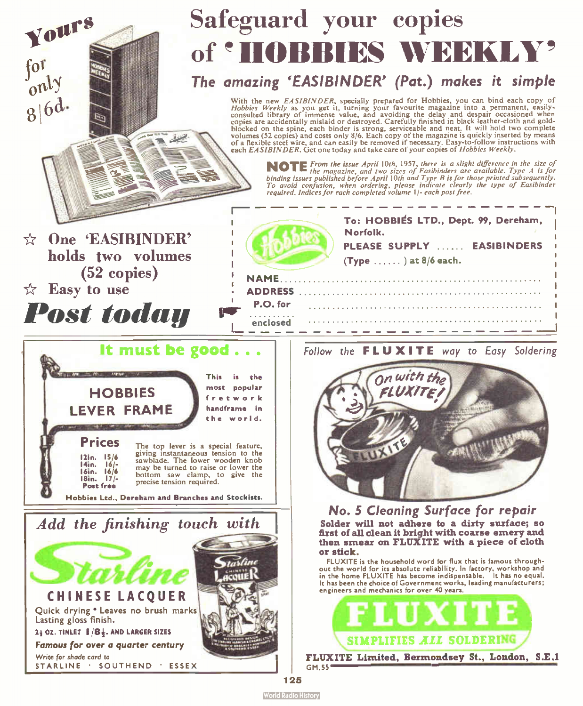![](_page_12_Picture_0.jpeg)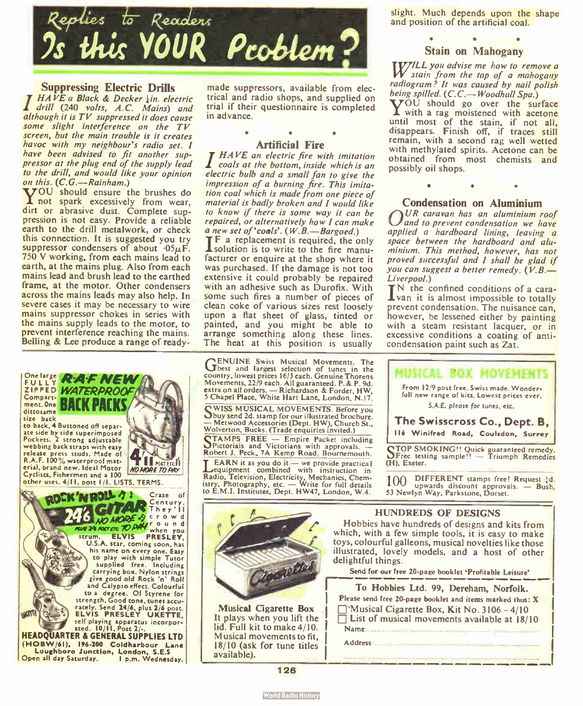![](_page_13_Picture_0.jpeg)

### **Suppressing Electric Drills**<br> $HAVE$  a Black & Decker  $\frac{1}{2}$ in. electric

drill (240 volts, A.C. Mains) and although it is TV suppressed it does cause some slight interference on the TV screen, but the main trouble is it creates havoc with my neighbour's radio set. I have been advised to fit another suppressor at the plug end of the supply lead to the drill, and would like your opinion<br>on this. (C.G.—Rainham.)

on this.  $(C, G, \rightarrow R$ ainham.)<br>**Y**OU should ensure the brushes do not spark excessively from wear, dirt or abrasive dust. Complete suppression is not easy. Provide a reliable earth to the drill metalwork, or check this connection. It is suggested you try suppressor condensers of about  $.05\mu$ F. 750 V working, from each mains lead to earth, at the mains plug. Also from each mains lead and brush lead to the earthed frame, at the motor. Other condensers across the mains leads may also help. In severe cases it may be necessary to wire mains suppressor chokes in series with the mains supply leads to the motor, to prevent interference reaching the mains. Belling & Lee produce a range of ready-

![](_page_13_Picture_4.jpeg)

made suppressors, available from electrical and radio shops, and supplied on trial if their questionnaire is completed in advance.

### •

**Artificial Fire**<br>**I HAVE an electric fire with imitation**  $\mathbf 1$  coals at the bottom, inside which is an electric bulb and a small fan to give the impression of a burning fire. This imitation coal which is made from one piece of material is badly broken and I would like to know if there is some way it can be repaired, or alternatively how I can make a new set of  $'$ coals'.  $(W, B, \text{---} B)$ 

**TF** a replacement is required, the only 'solution is to write to the fire manufacturer or enquire at the shop where it was purchased. If the damage is not too extensive it could probably be repaired with an adhesive such as Durofix. With some such fires a number of pieces of clean coke of various sizes rest loosely upon a flat sheet of glass, tinted or painted, and you might be able to arrange something along these lines. The heat at this position is usually

GENUINE Swiss Musical Movements. The best and largest selection of tunes in the country, lowest prices 16/3 each. Genuine Thorens Movements, 22/9 each. All guaranteed. P.& P. 9d. extra on all orders. — Richardson & Forder, HW, 5 Chapel Place, White Hart Lane, London, N.I7.

CWISS MUSICAL MOVEMENTS. Before you Obuy send 2d. stamp for our illustrated brochure. — Metwood Accessories ( Dept. HW), Church St., Wolverton, Bucks. (Trade enquiries invited.)

TAMPS FREE — Empire Packet including **STAMPS FREE — Empire rather instead**<br>Spictorials and Victorians with approvals. Robert J. Peck, 7A Kemp Road, Bournemouth.

**LEARN** it as you do it — we provide practical<br>equipment combined with instruction in Radio, Television, Electricity, Mechanics, Chem-<br>istry, Photography, etc. — Write for full details to E.M.I. Institutes, Dept. HW47, London, W.4.

 $\mathcal{D}$ 

slight. Much depends upon the shape and position of the artificial coal.

#### Stain on Mahogany

TWILL you advise me how to remove a W stain from the top of a mahogany radiogram? It was caused by nail polish<br>being spilled. (C.C.—Woodhall Spa.)

**TOU** should go over the surface I with a rag moistened with acetone until most of the stain, if not all,<br>disappears. Finish off, if traces still remain, with a second rag well wetted with methylated spirits. Acetone can be obtained from most chemists and possibly oil shops.

#### Condensation on Aluminium

 $\sum_{n=1}^{U}$  caravan has an aluminium roof and to prevent condensation we have applied a hardboard lining, leaving a space between the hardboard and aluminium. This method, however, has not proved successful and I shall be glad if you can suggest a better remedy.  $(V, B, \doteq$ <br>Liverpool.)

*Liverpool.*)<br>IN the confined conditions of a cara-<br>I van it is almost impossible to totally prevent condensation. The nuisance can, however, be lessened either by painting with a steam resistant lacquer, or in excessive conditions a coating of anticondensation paint such as Zat.

![](_page_13_Picture_21.jpeg)

116 Winifred Road, Coulsdon, Surrey

TOP SMOKING!! Quick guaranteed remedy L1Free testing sample!! — Triumph Remedies (H), Exeter.

100 DIFFERENT stamps free! Request !d. upwards discount approvals. — Bush, 53 Newlyn Way, Parkstone, Dorset.

#### HUNDREDS OF DESIGNS

Hobbies have hundreds of designs and kits from which, with a few simple tools, it is easy to make toys, colourful galleons, musical novelties like those illustrated, lovely models, and a host of other delightful things.

Send for our free 20-page booklet 'Profitable Leisure'

| To Hobbies Ltd. 99, Dereham, Norfolk.                                                                              |
|--------------------------------------------------------------------------------------------------------------------|
| Please send free 20-page booklet and items marked thus: X                                                          |
| $\Box$ 'Musical Cigarette Box, Kit No. 3106 - 4/10<br>$\Box$ List of musical movements available at 18/10<br>Name. |
| Address-                                                                                                           |
|                                                                                                                    |

126

Musical Cigarette Box It plays when you lift the lid. Full kit to make 4/10. Musical movements to fit, 18/10 (ask for tune titles

available).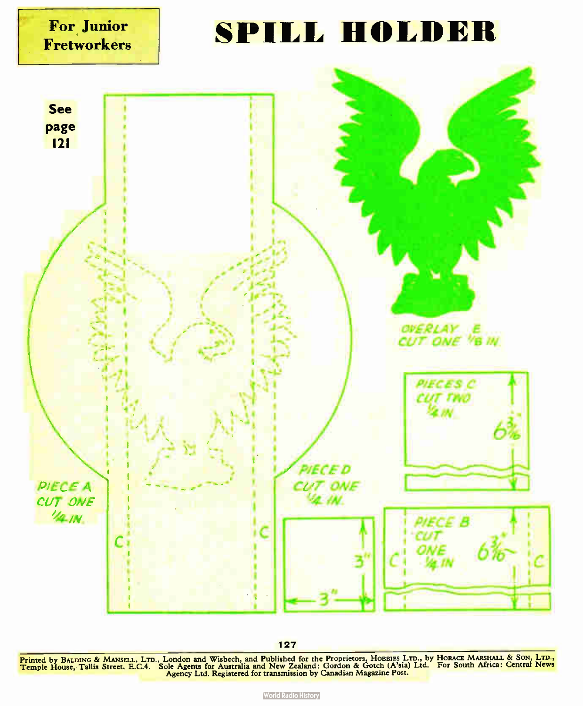![](_page_14_Figure_0.jpeg)

127

Printed by BALDING & MANSELL, LTD., London and Wisbech, and Published for the Proprietors, Hobbles Lib., by Hokada Makshall & Solv, LtD.,<br>Temple House, Tallis Street, E.C.4. Sole Agents for Australia and New Zealand: Gordo